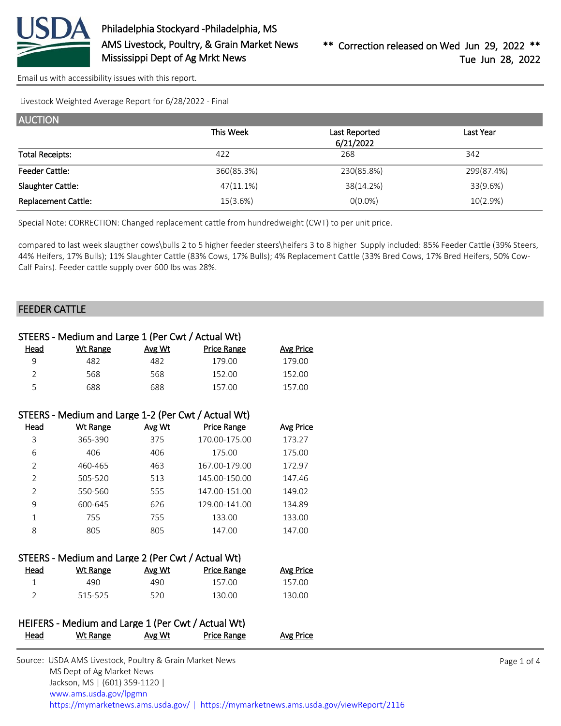

[Email us with accessibility issues with this report.](mailto:mars@ams.usda.gov?subject=508%20issue)

Livestock Weighted Average Report for 6/28/2022 - Final

| <b>AUCTION</b>             |              |               |            |
|----------------------------|--------------|---------------|------------|
|                            | This Week    | Last Reported | Last Year  |
|                            |              | 6/21/2022     |            |
| <b>Total Receipts:</b>     | 422          | 268           | 342        |
| <b>Feeder Cattle:</b>      | 360(85.3%)   | 230(85.8%)    | 299(87.4%) |
| Slaughter Cattle:          | $47(11.1\%)$ | 38(14.2%)     | 33(9.6%)   |
| <b>Replacement Cattle:</b> | 15(3.6%)     | $O(0.0\%)$    | 10(2.9%)   |

Special Note: CORRECTION: Changed replacement cattle from hundredweight (CWT) to per unit price.

compared to last week slaugther cows\bulls 2 to 5 higher feeder steers\heifers 3 to 8 higher Supply included: 85% Feeder Cattle (39% Steers, 44% Heifers, 17% Bulls); 11% Slaughter Cattle (83% Cows, 17% Bulls); 4% Replacement Cattle (33% Bred Cows, 17% Bred Heifers, 50% Cow-Calf Pairs). Feeder cattle supply over 600 lbs was 28%.

#### FEEDER CATTLE

|                | STEERS - Medium and Large 1 (Per Cwt / Actual Wt)   |               |                    |                  |
|----------------|-----------------------------------------------------|---------------|--------------------|------------------|
| Head           | <b>Wt Range</b>                                     | Avg Wt        | Price Range        | Avg Price        |
| 9              | 482                                                 | 482           | 179.00             | 179.00           |
| $\mathcal{P}$  | 568                                                 | 568           | 152.00             | 152.00           |
| 5              | 688                                                 | 688           | 157.00             | 157.00           |
|                | STEERS - Medium and Large 1-2 (Per Cwt / Actual Wt) |               |                    |                  |
| Head           | <b>Wt Range</b>                                     | <u>Avg Wt</u> | <b>Price Range</b> | <b>Avg Price</b> |
| 3              | 365-390                                             | 375           | 170.00-175.00      | 173.27           |
| 6              | 406                                                 | 406           | 175.00             | 175.00           |
| $\overline{2}$ | 460-465                                             | 463           | 167.00-179.00      | 172.97           |
| $\overline{2}$ | 505-520                                             | 513           | 145.00-150.00      | 147.46           |
| $\overline{2}$ | 550-560                                             | 555           | 147.00-151.00      | 149.02           |
| 9              | 600-645                                             | 626           | 129.00-141.00      | 134.89           |
| $\mathbf{1}$   | 755                                                 | 755           | 133.00             | 133.00           |
| 8              | 805                                                 | 805           | 147.00             | 147.00           |
|                |                                                     |               |                    |                  |
|                | STEERS - Medium and Large 2 (Per Cwt / Actual Wt)   |               |                    |                  |
| Head           | Wt Range                                            | Avg Wt        | <b>Price Range</b> | Avg Price        |

| <u>Head</u> | Wt Range | Avg Wt | Price Range | <b>Avg Price</b> |
|-------------|----------|--------|-------------|------------------|
|             | 490.     | 490    | 157.00      | 157.00           |
|             | 515-525  | 520    | 130.00      | 130.00           |

### HEIFERS - Medium and Large 1 (Per Cwt / Actual Wt) Head Wt Range Avg Wt Price Range Avg Price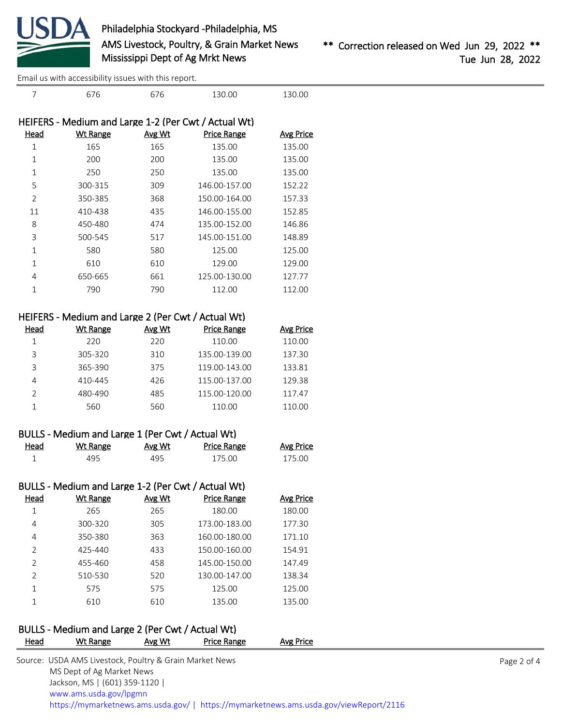

[Email us with accessibility issues with this report.](mailto:mars@ams.usda.gov?subject=508%20issue)

| 7              | 676             | 676           | 130.00                                               | 130.00           |
|----------------|-----------------|---------------|------------------------------------------------------|------------------|
|                |                 |               | HEIFERS - Medium and Large 1-2 (Per Cwt / Actual Wt) |                  |
| Head           | <b>Wt Range</b> | <u>Avg Wt</u> | <b>Price Range</b>                                   | <b>Avg Price</b> |
| 1              | 165             | 165           | 135.00                                               | 135.00           |
| $\mathbf{1}$   | 200             | 200           | 135.00                                               | 135.00           |
| $\mathbf{1}$   | 250             | 250           | 135.00                                               | 135.00           |
| 5              | 300-315         | 309           | 146.00-157.00                                        | 152.22           |
| $\overline{2}$ | 350-385         | 368           | 150.00-164.00                                        | 157.33           |
| 11             | 410-438         | 435           | 146.00-155.00                                        | 152.85           |
| 8              | 450-480         | 474           | 135.00-152.00                                        | 146.86           |
| 3              | 500-545         | 517           | 145.00-151.00                                        | 148.89           |
| $\mathbf{1}$   | 580             | 580           | 125.00                                               | 125.00           |
| 1              | 610             | 610           | 129.00                                               | 129.00           |
| 4              | 650-665         | 661           | 125.00-130.00                                        | 127.77           |
| 1              | 790             | 790           | 112.00                                               | 112.00           |
|                |                 |               |                                                      |                  |

|      | HEIFERS - Medium and Large 2 (Per Cwt / Actual Wt) |        |                    |                  |
|------|----------------------------------------------------|--------|--------------------|------------------|
| Head | <b>Wt Range</b>                                    | Avg Wt | <b>Price Range</b> | <b>Avg Price</b> |
|      | 220                                                | 220    | 110.00             | 110.00           |
| ς    | 305-320                                            | 310    | 135.00-139.00      | 137.30           |
| ς    | 365-390                                            | 375    | 119.00-143.00      | 133.81           |
| 4    | 410-445                                            | 426    | 115.00-137.00      | 129.38           |
|      | 480-490                                            | 485    | 115.00-120.00      | 117.47           |

|      | BULLS - Medium and Large 1 (Per Cwt / Actual Wt) |        |                    |                  |
|------|--------------------------------------------------|--------|--------------------|------------------|
| Head | Wt Range                                         | Avg Wt | <b>Price Range</b> | <b>Avg Price</b> |
|      | 495.                                             | 495    | 175.00             | 175.00           |

1 560 560 110.00 110.00

|                | BULLS - Medium and Large 1-2 (Per Cwt / Actual Wt) |        |                    |                  |
|----------------|----------------------------------------------------|--------|--------------------|------------------|
| Head           | Wt Range                                           | Avg Wt | <b>Price Range</b> | <b>Avg Price</b> |
| 1              | 265                                                | 265    | 180.00             | 180.00           |
| 4              | 300-320                                            | 305    | 173.00-183.00      | 177.30           |
| 4              | 350-380                                            | 363    | 160.00-180.00      | 171.10           |
| $\mathcal{P}$  | 425-440                                            | 433    | 150.00-160.00      | 154.91           |
| $\mathcal{P}$  | 455-460                                            | 458    | 145.00-150.00      | 147.49           |
| $\mathfrak{D}$ | 510-530                                            | 520    | 130.00-147.00      | 138.34           |
|                | 575                                                | 575    | 125.00             | 125.00           |
|                | 610                                                | 610    | 135.00             | 135.00           |

# BULLS - Medium and Large 2 (Per Cwt / Actual Wt)

| <b>Head</b> | Wt Range                                                | Avg Wt | Price Range | Avg Price                                                                              |             |
|-------------|---------------------------------------------------------|--------|-------------|----------------------------------------------------------------------------------------|-------------|
|             | Source: USDA AMS Livestock, Poultry & Grain Market News |        |             |                                                                                        | Page 2 of 4 |
|             | MS Dept of Ag Market News                               |        |             |                                                                                        |             |
|             | Jackson, MS   (601) 359-1120                            |        |             |                                                                                        |             |
|             | www.ams.usda.gov/lpgmn                                  |        |             |                                                                                        |             |
|             |                                                         |        |             | https://mymarketnews.ams.usda.gov/   https://mymarketnews.ams.usda.gov/viewReport/2116 |             |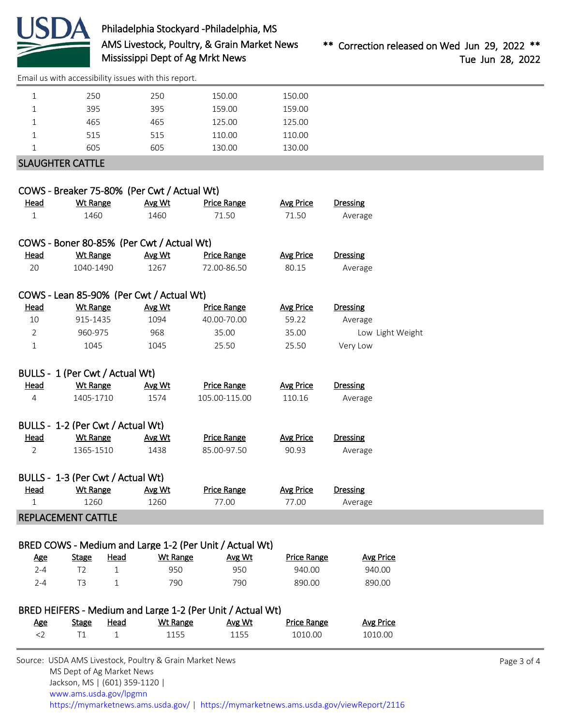

## Philadelphia Stockyard -Philadelphia, MS AMS Livestock, Poultry, & Grain Market News Mississippi Dept of Ag Mrkt News

[Email us with accessibility issues with this report.](mailto:mars@ams.usda.gov?subject=508%20issue)

| 250                     | 250 | 150.00 | 150.00 |  |
|-------------------------|-----|--------|--------|--|
| 395                     | 395 | 159.00 | 159.00 |  |
| 465                     | 465 | 125.00 | 125.00 |  |
| 515                     | 515 | 110.00 | 110.00 |  |
| 605                     | 605 | 130.00 | 130.00 |  |
| <b>SLAUGHTER CATTLE</b> |     |        |        |  |

|                |                                   | COWS - Breaker 75-80% (Per Cwt / Actual Wt)             |                    |                    |                  |
|----------------|-----------------------------------|---------------------------------------------------------|--------------------|--------------------|------------------|
| Head           | <b>Wt Range</b>                   | Avg Wt                                                  | <b>Price Range</b> | <b>Avg Price</b>   | <b>Dressing</b>  |
| $\mathbf{1}$   | 1460                              | 1460                                                    | 71.50              | 71.50              | Average          |
|                |                                   | COWS - Boner 80-85% (Per Cwt / Actual Wt)               |                    |                    |                  |
| Head           | <b>Wt Range</b>                   | Avg Wt                                                  | <b>Price Range</b> | <b>Avg Price</b>   | <b>Dressing</b>  |
| 20             | 1040-1490                         | 1267                                                    | 72.00-86.50        | 80.15              | Average          |
|                |                                   | COWS - Lean 85-90% (Per Cwt / Actual Wt)                |                    |                    |                  |
| Head           | <b>Wt Range</b>                   | Avg Wt                                                  | <b>Price Range</b> | <b>Avg Price</b>   | <b>Dressing</b>  |
| 10             | 915-1435                          | 1094                                                    | 40.00-70.00        | 59.22              | Average          |
| $\overline{2}$ | 960-975                           | 968                                                     | 35.00              | 35.00              | Low Light Weight |
| $\mathbf{1}$   | 1045                              | 1045                                                    | 25.50              | 25.50              | Very Low         |
|                | BULLS - 1 (Per Cwt / Actual Wt)   |                                                         |                    |                    |                  |
| Head           | <b>Wt Range</b>                   |                                                         | <b>Price Range</b> | <b>Avg Price</b>   | <b>Dressing</b>  |
| $\overline{4}$ | 1405-1710                         | <b>Avg Wt</b><br>1574                                   | 105.00-115.00      | 110.16             | Average          |
|                |                                   |                                                         |                    |                    |                  |
|                | BULLS - 1-2 (Per Cwt / Actual Wt) |                                                         |                    |                    |                  |
| Head           | <b>Wt Range</b>                   | Avg Wt                                                  | <b>Price Range</b> | <b>Avg Price</b>   | <b>Dressing</b>  |
| $\overline{2}$ | 1365-1510                         | 1438                                                    | 85.00-97.50        | 90.93              | Average          |
|                | BULLS - 1-3 (Per Cwt / Actual Wt) |                                                         |                    |                    |                  |
| Head           | <b>Wt Range</b>                   | Avg Wt                                                  | <b>Price Range</b> | <b>Avg Price</b>   | <b>Dressing</b>  |
| $\mathbf{1}$   | 1260                              | 1260                                                    | 77.00              | 77.00              | Average          |
|                | <b>REPLACEMENT CATTLE</b>         |                                                         |                    |                    |                  |
|                |                                   |                                                         |                    |                    |                  |
|                |                                   | BRED COWS - Medium and Large 1-2 (Per Unit / Actual Wt) |                    |                    |                  |
| <u>Age</u>     | <b>Stage</b>                      | <b>Wt Range</b><br>Head                                 | Avg Wt             | <b>Price Range</b> | <b>Avg Price</b> |
| $2 - 4$        | T <sub>2</sub>                    | $\mathbf{1}$<br>950                                     | 950                | 940.00             | 940.00           |
| $2 - 4$        | T <sub>3</sub>                    | 1<br>790                                                | 790                | 890.00             | 890.00           |

### BRED HEIFERS - Medium and Large 1-2 (Per Unit / Actual Wt)

| <u>Age</u> | <b>Stage</b> | Head | Wt Range | Avg Wt | <b>Price Range</b> | <b>Avg Price</b> |
|------------|--------------|------|----------|--------|--------------------|------------------|
|            |              |      | 1155     | 1155   | 1010.00            | 1010.00          |